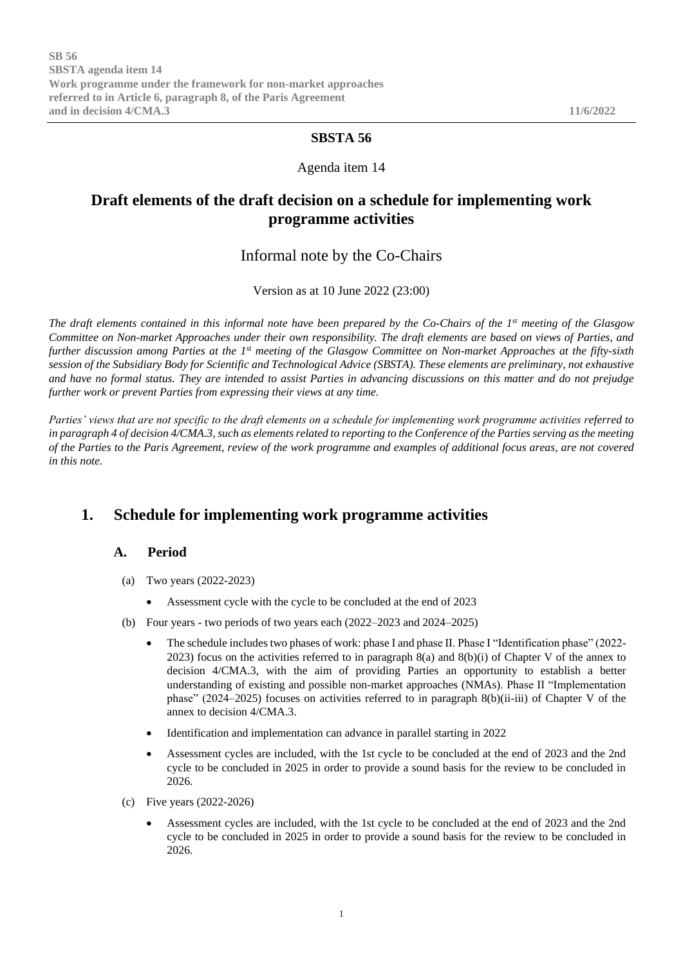### **SBSTA 56**

### Agenda item 14

# **Draft elements of the draft decision on a schedule for implementing work programme activities**

### Informal note by the Co-Chairs

Version as at 10 June 2022 (23:00)

*The draft elements contained in this informal note have been prepared by the Co-Chairs of the 1st meeting of the Glasgow Committee on Non-market Approaches under their own responsibility. The draft elements are based on views of Parties, and further discussion among Parties at the 1st meeting of the Glasgow Committee on Non-market Approaches at the fifty-sixth session of the Subsidiary Body for Scientific and Technological Advice (SBSTA). These elements are preliminary, not exhaustive and have no formal status. They are intended to assist Parties in advancing discussions on this matter and do not prejudge further work or prevent Parties from expressing their views at any time.* 

*Parties' views that are not specific to the draft elements on a schedule for implementing work programme activities referred to in paragraph 4 of decision 4/CMA.3, such as elements related to reporting to the Conference of the Parties serving as the meeting of the Parties to the Paris Agreement, review of the work programme and examples of additional focus areas, are not covered in this note.* 

# **1. Schedule for implementing work programme activities**

#### **A. Period**

- (a) Two years (2022-2023)
	- Assessment cycle with the cycle to be concluded at the end of 2023
- (b) Four years two periods of two years each (2022–2023 and 2024–2025)
	- The schedule includes two phases of work: phase I and phase II. Phase I "Identification phase" (2022-2023) focus on the activities referred to in paragraph 8(a) and 8(b)(i) of Chapter V of the annex to decision 4/CMA.3, with the aim of providing Parties an opportunity to establish a better understanding of existing and possible non-market approaches (NMAs). Phase II "Implementation phase" (2024–2025) focuses on activities referred to in paragraph 8(b)(ii-iii) of Chapter V of the annex to decision 4/CMA.3.
	- Identification and implementation can advance in parallel starting in 2022
	- Assessment cycles are included, with the 1st cycle to be concluded at the end of 2023 and the 2nd cycle to be concluded in 2025 in order to provide a sound basis for the review to be concluded in 2026.
- (c) Five years (2022-2026)
	- Assessment cycles are included, with the 1st cycle to be concluded at the end of 2023 and the 2nd cycle to be concluded in 2025 in order to provide a sound basis for the review to be concluded in 2026.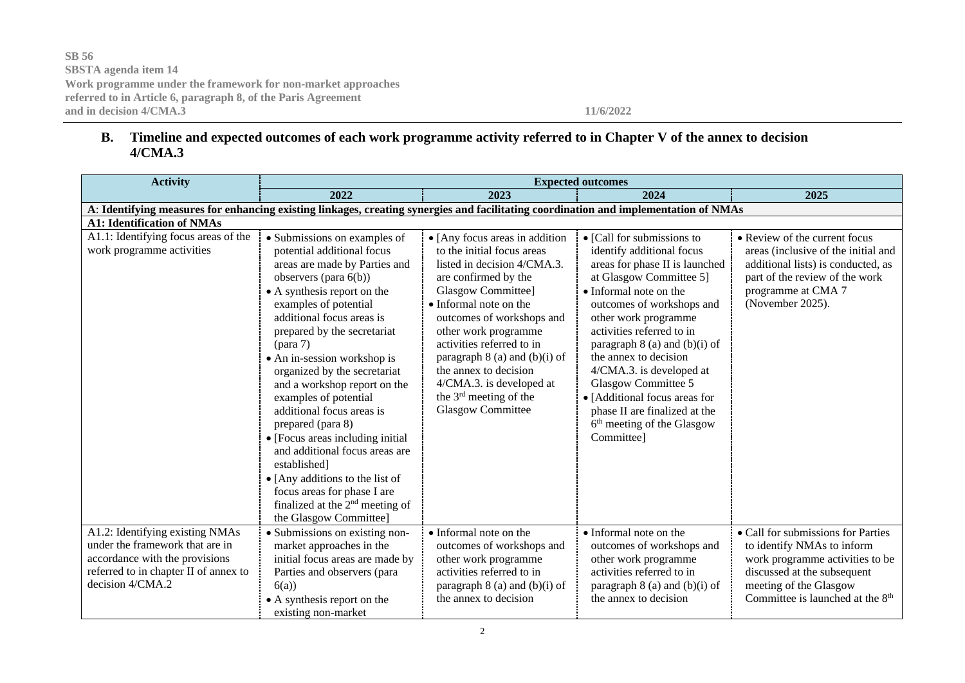### **B. Timeline and expected outcomes of each work programme activity referred to in Chapter V of the annex to decision 4/CMA.3**

| <b>Activity</b>                                                                                                                                                   | <b>Expected outcomes</b>                                                                                                                                                                                                                                                                                                                                                                                                                                                                                                                                                                                                                            |                                                                                                                                                                                                                                                                                                                                                                                                                 |                                                                                                                                                                                                                                                                                                                                                                                                                                                                           |                                                                                                                                                                                                              |
|-------------------------------------------------------------------------------------------------------------------------------------------------------------------|-----------------------------------------------------------------------------------------------------------------------------------------------------------------------------------------------------------------------------------------------------------------------------------------------------------------------------------------------------------------------------------------------------------------------------------------------------------------------------------------------------------------------------------------------------------------------------------------------------------------------------------------------------|-----------------------------------------------------------------------------------------------------------------------------------------------------------------------------------------------------------------------------------------------------------------------------------------------------------------------------------------------------------------------------------------------------------------|---------------------------------------------------------------------------------------------------------------------------------------------------------------------------------------------------------------------------------------------------------------------------------------------------------------------------------------------------------------------------------------------------------------------------------------------------------------------------|--------------------------------------------------------------------------------------------------------------------------------------------------------------------------------------------------------------|
|                                                                                                                                                                   | 2022                                                                                                                                                                                                                                                                                                                                                                                                                                                                                                                                                                                                                                                | 2023                                                                                                                                                                                                                                                                                                                                                                                                            | 2024                                                                                                                                                                                                                                                                                                                                                                                                                                                                      | 2025                                                                                                                                                                                                         |
| A: Identifying measures for enhancing existing linkages, creating synergies and facilitating coordination and implementation of NMAs                              |                                                                                                                                                                                                                                                                                                                                                                                                                                                                                                                                                                                                                                                     |                                                                                                                                                                                                                                                                                                                                                                                                                 |                                                                                                                                                                                                                                                                                                                                                                                                                                                                           |                                                                                                                                                                                                              |
| <b>A1: Identification of NMAs</b>                                                                                                                                 |                                                                                                                                                                                                                                                                                                                                                                                                                                                                                                                                                                                                                                                     |                                                                                                                                                                                                                                                                                                                                                                                                                 |                                                                                                                                                                                                                                                                                                                                                                                                                                                                           |                                                                                                                                                                                                              |
| A1.1: Identifying focus areas of the<br>work programme activities                                                                                                 | • Submissions on examples of<br>potential additional focus<br>areas are made by Parties and<br>observers (para 6(b))<br>• A synthesis report on the<br>examples of potential<br>additional focus areas is<br>prepared by the secretariat<br>• An in-session workshop is<br>organized by the secretariat<br>and a workshop report on the<br>examples of potential<br>additional focus areas is<br>prepared (para 8)<br>• [Focus areas including initial<br>and additional focus areas are<br>established]<br>• [Any additions to the list of<br>focus areas for phase I are<br>finalized at the 2 <sup>nd</sup> meeting of<br>the Glasgow Committee] | • [Any focus areas in addition<br>to the initial focus areas<br>listed in decision 4/CMA.3.<br>are confirmed by the<br>Glasgow Committee]<br>• Informal note on the<br>outcomes of workshops and<br>other work programme<br>activities referred to in<br>paragraph $8$ (a) and (b)(i) of<br>the annex to decision<br>4/CMA.3. is developed at<br>the 3 <sup>rd</sup> meeting of the<br><b>Glasgow Committee</b> | • [Call for submissions to<br>identify additional focus<br>areas for phase II is launched<br>at Glasgow Committee 5]<br>• Informal note on the<br>outcomes of workshops and<br>other work programme<br>activities referred to in<br>paragraph $8$ (a) and (b)(i) of<br>the annex to decision<br>4/CMA.3. is developed at<br>Glasgow Committee 5<br>• [Additional focus areas for<br>phase II are finalized at the<br>6 <sup>th</sup> meeting of the Glasgow<br>Committee] | • Review of the current focus<br>areas (inclusive of the initial and<br>additional lists) is conducted, as<br>part of the review of the work<br>programme at CMA 7<br>(November 2025).                       |
| A1.2: Identifying existing NMAs<br>under the framework that are in<br>accordance with the provisions<br>referred to in chapter II of annex to<br>decision 4/CMA.2 | · Submissions on existing non-<br>market approaches in the<br>initial focus areas are made by<br>Parties and observers (para<br>6(a)<br>• A synthesis report on the<br>existing non-market                                                                                                                                                                                                                                                                                                                                                                                                                                                          | • Informal note on the<br>outcomes of workshops and<br>other work programme<br>activities referred to in<br>paragraph $8$ (a) and (b)(i) of<br>the annex to decision                                                                                                                                                                                                                                            | • Informal note on the<br>outcomes of workshops and<br>other work programme<br>activities referred to in<br>paragraph $8$ (a) and (b)(i) of<br>the annex to decision                                                                                                                                                                                                                                                                                                      | • Call for submissions for Parties<br>to identify NMAs to inform<br>work programme activities to be<br>discussed at the subsequent<br>meeting of the Glasgow<br>Committee is launched at the 8 <sup>th</sup> |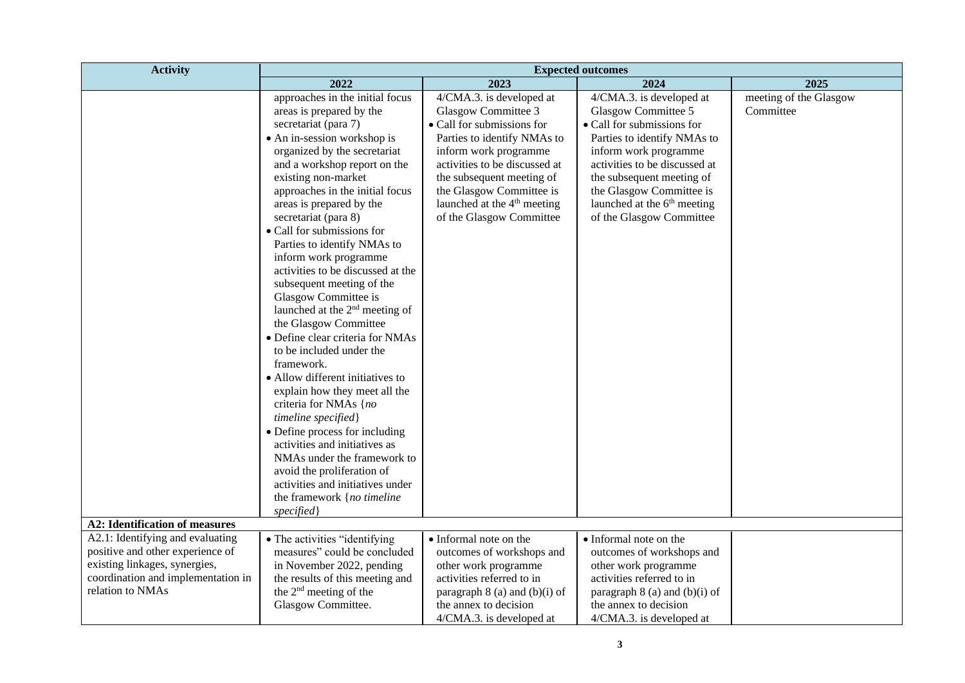| <b>Activity</b>                                                                                                                                                               | 2022<br>approaches in the initial focus                                                                                                                                                                                                                                                                                                                                                                                                                                                                                                                                                                                                                                                                                                                                                                                                                                                                                                | 2023                                                                                                                                                                                                                                                                                                   | <b>Expected outcomes</b><br>2024                                                                                                                                                                                                                                                                       | 2025                                |
|-------------------------------------------------------------------------------------------------------------------------------------------------------------------------------|----------------------------------------------------------------------------------------------------------------------------------------------------------------------------------------------------------------------------------------------------------------------------------------------------------------------------------------------------------------------------------------------------------------------------------------------------------------------------------------------------------------------------------------------------------------------------------------------------------------------------------------------------------------------------------------------------------------------------------------------------------------------------------------------------------------------------------------------------------------------------------------------------------------------------------------|--------------------------------------------------------------------------------------------------------------------------------------------------------------------------------------------------------------------------------------------------------------------------------------------------------|--------------------------------------------------------------------------------------------------------------------------------------------------------------------------------------------------------------------------------------------------------------------------------------------------------|-------------------------------------|
|                                                                                                                                                                               |                                                                                                                                                                                                                                                                                                                                                                                                                                                                                                                                                                                                                                                                                                                                                                                                                                                                                                                                        |                                                                                                                                                                                                                                                                                                        |                                                                                                                                                                                                                                                                                                        |                                     |
|                                                                                                                                                                               | areas is prepared by the<br>secretariat (para 7)<br>• An in-session workshop is<br>organized by the secretariat<br>and a workshop report on the<br>existing non-market<br>approaches in the initial focus<br>areas is prepared by the<br>secretariat (para 8)<br>• Call for submissions for<br>Parties to identify NMAs to<br>inform work programme<br>activities to be discussed at the<br>subsequent meeting of the<br>Glasgow Committee is<br>launched at the 2 <sup>nd</sup> meeting of<br>the Glasgow Committee<br>· Define clear criteria for NMAs<br>to be included under the<br>framework.<br>• Allow different initiatives to<br>explain how they meet all the<br>criteria for NMAs {no<br>timeline specified}<br>• Define process for including<br>activities and initiatives as<br>NMAs under the framework to<br>avoid the proliferation of<br>activities and initiatives under<br>the framework {no timeline<br>specified | 4/CMA.3. is developed at<br>Glasgow Committee 3<br>• Call for submissions for<br>Parties to identify NMAs to<br>inform work programme<br>activities to be discussed at<br>the subsequent meeting of<br>the Glasgow Committee is<br>launched at the 4 <sup>th</sup> meeting<br>of the Glasgow Committee | 4/CMA.3. is developed at<br>Glasgow Committee 5<br>• Call for submissions for<br>Parties to identify NMAs to<br>inform work programme<br>activities to be discussed at<br>the subsequent meeting of<br>the Glasgow Committee is<br>launched at the 6 <sup>th</sup> meeting<br>of the Glasgow Committee | meeting of the Glasgow<br>Committee |
| <b>A2: Identification of measures</b>                                                                                                                                         |                                                                                                                                                                                                                                                                                                                                                                                                                                                                                                                                                                                                                                                                                                                                                                                                                                                                                                                                        |                                                                                                                                                                                                                                                                                                        |                                                                                                                                                                                                                                                                                                        |                                     |
| $\overline{A2.1}$ : Identifying and evaluating<br>positive and other experience of<br>existing linkages, synergies,<br>coordination and implementation in<br>relation to NMAs | • The activities "identifying<br>measures" could be concluded<br>in November 2022, pending<br>the results of this meeting and<br>the 2 <sup>nd</sup> meeting of the<br>Glasgow Committee.                                                                                                                                                                                                                                                                                                                                                                                                                                                                                                                                                                                                                                                                                                                                              | • Informal note on the<br>outcomes of workshops and<br>other work programme<br>activities referred to in<br>paragraph $8$ (a) and (b)(i) of<br>the annex to decision<br>4/CMA.3. is developed at                                                                                                       | • Informal note on the<br>outcomes of workshops and<br>other work programme<br>activities referred to in<br>paragraph $8$ (a) and (b)(i) of<br>the annex to decision<br>4/CMA.3. is developed at                                                                                                       |                                     |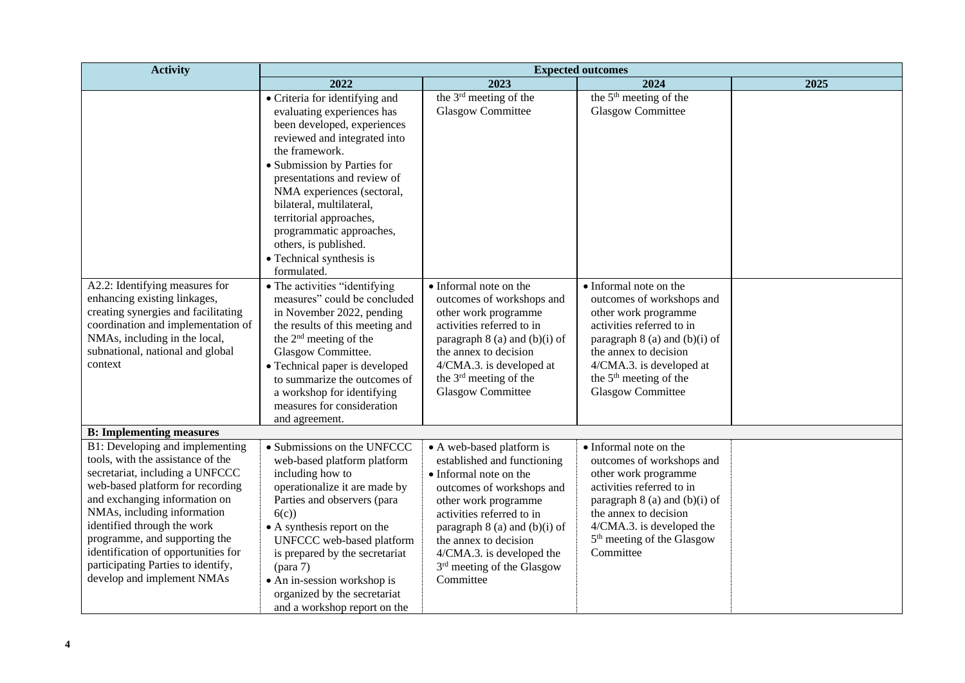| <b>Activity</b>                                                                                                                                                                                                                                                                                                                                                                        | <b>Expected outcomes</b>                                                                                                                                                                                                                                                                                                                                                                         |                                                                                                                                                                                                                                                                                                          |                                                                                                                                                                                                                                                                    |      |
|----------------------------------------------------------------------------------------------------------------------------------------------------------------------------------------------------------------------------------------------------------------------------------------------------------------------------------------------------------------------------------------|--------------------------------------------------------------------------------------------------------------------------------------------------------------------------------------------------------------------------------------------------------------------------------------------------------------------------------------------------------------------------------------------------|----------------------------------------------------------------------------------------------------------------------------------------------------------------------------------------------------------------------------------------------------------------------------------------------------------|--------------------------------------------------------------------------------------------------------------------------------------------------------------------------------------------------------------------------------------------------------------------|------|
|                                                                                                                                                                                                                                                                                                                                                                                        | 2022                                                                                                                                                                                                                                                                                                                                                                                             | 2023                                                                                                                                                                                                                                                                                                     | 2024                                                                                                                                                                                                                                                               | 2025 |
|                                                                                                                                                                                                                                                                                                                                                                                        | • Criteria for identifying and<br>evaluating experiences has<br>been developed, experiences<br>reviewed and integrated into<br>the framework.<br>· Submission by Parties for<br>presentations and review of<br>NMA experiences (sectoral,<br>bilateral, multilateral,<br>territorial approaches,<br>programmatic approaches,<br>others, is published.<br>• Technical synthesis is<br>formulated. | the 3 <sup>rd</sup> meeting of the<br><b>Glasgow Committee</b>                                                                                                                                                                                                                                           | the 5 <sup>th</sup> meeting of the<br>Glasgow Committee                                                                                                                                                                                                            |      |
| A2.2: Identifying measures for<br>enhancing existing linkages,<br>creating synergies and facilitating<br>coordination and implementation of<br>NMAs, including in the local,<br>subnational, national and global<br>context                                                                                                                                                            | • The activities "identifying<br>measures" could be concluded<br>in November 2022, pending<br>the results of this meeting and<br>the 2 <sup>nd</sup> meeting of the<br>Glasgow Committee.<br>• Technical paper is developed<br>to summarize the outcomes of<br>a workshop for identifying<br>measures for consideration<br>and agreement.                                                        | • Informal note on the<br>outcomes of workshops and<br>other work programme<br>activities referred to in<br>paragraph 8 (a) and (b)(i) of<br>the annex to decision<br>4/CMA.3. is developed at<br>the 3 <sup>rd</sup> meeting of the<br><b>Glasgow Committee</b>                                         | • Informal note on the<br>outcomes of workshops and<br>other work programme<br>activities referred to in<br>paragraph $8$ (a) and (b)(i) of<br>the annex to decision<br>4/CMA.3. is developed at<br>the 5 <sup>th</sup> meeting of the<br><b>Glasgow Committee</b> |      |
| <b>B:</b> Implementing measures                                                                                                                                                                                                                                                                                                                                                        |                                                                                                                                                                                                                                                                                                                                                                                                  |                                                                                                                                                                                                                                                                                                          |                                                                                                                                                                                                                                                                    |      |
| B1: Developing and implementing<br>tools, with the assistance of the<br>secretariat, including a UNFCCC<br>web-based platform for recording<br>and exchanging information on<br>NMAs, including information<br>identified through the work<br>programme, and supporting the<br>identification of opportunities for<br>participating Parties to identify,<br>develop and implement NMAs | • Submissions on the UNFCCC<br>web-based platform platform<br>including how to<br>operationalize it are made by<br>Parties and observers (para<br>6(c)<br>• A synthesis report on the<br>UNFCCC web-based platform<br>is prepared by the secretariat<br>• An in-session workshop is<br>organized by the secretariat<br>and a workshop report on the                                              | • A web-based platform is<br>established and functioning<br>• Informal note on the<br>outcomes of workshops and<br>other work programme<br>activities referred to in<br>paragraph $8$ (a) and (b)(i) of<br>the annex to decision<br>4/CMA.3. is developed the<br>3rd meeting of the Glasgow<br>Committee | • Informal note on the<br>outcomes of workshops and<br>other work programme<br>activities referred to in<br>paragraph $8$ (a) and (b)(i) of<br>the annex to decision<br>4/CMA.3. is developed the<br>5 <sup>th</sup> meeting of the Glasgow<br>Committee           |      |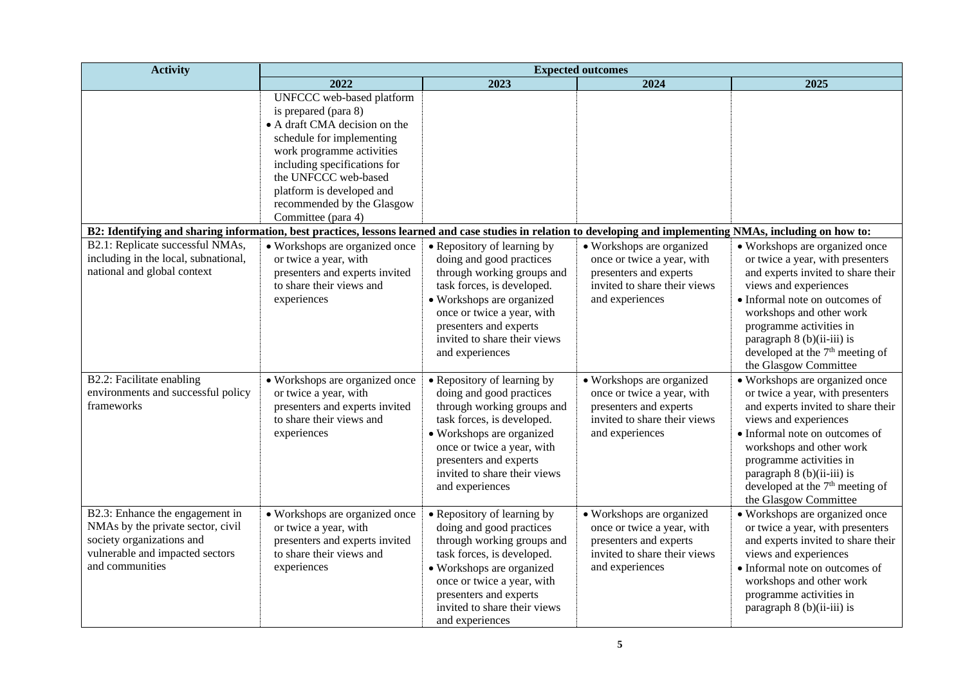| <b>Activity</b>                                                                                                                                                 | <b>Expected outcomes</b>                                                                                                                                                                                                                                                              |                                                                                                                                                                                                                                                             |                                                                                                                                      |                                                                                                                                                                                                                                                                                                                                  |
|-----------------------------------------------------------------------------------------------------------------------------------------------------------------|---------------------------------------------------------------------------------------------------------------------------------------------------------------------------------------------------------------------------------------------------------------------------------------|-------------------------------------------------------------------------------------------------------------------------------------------------------------------------------------------------------------------------------------------------------------|--------------------------------------------------------------------------------------------------------------------------------------|----------------------------------------------------------------------------------------------------------------------------------------------------------------------------------------------------------------------------------------------------------------------------------------------------------------------------------|
|                                                                                                                                                                 | 2022                                                                                                                                                                                                                                                                                  | 2023                                                                                                                                                                                                                                                        | 2024                                                                                                                                 | 2025                                                                                                                                                                                                                                                                                                                             |
| B2: Identifying and sharing information, best practices, lessons learned and case studies in relation to developing and implementing NMAs, including on how to: | UNFCCC web-based platform<br>is prepared (para 8)<br>• A draft CMA decision on the<br>schedule for implementing<br>work programme activities<br>including specifications for<br>the UNFCCC web-based<br>platform is developed and<br>recommended by the Glasgow<br>Committee (para 4) |                                                                                                                                                                                                                                                             |                                                                                                                                      |                                                                                                                                                                                                                                                                                                                                  |
| B2.1: Replicate successful NMAs,                                                                                                                                | • Workshops are organized once                                                                                                                                                                                                                                                        | • Repository of learning by                                                                                                                                                                                                                                 | · Workshops are organized                                                                                                            | • Workshops are organized once                                                                                                                                                                                                                                                                                                   |
| including in the local, subnational,<br>national and global context                                                                                             | or twice a year, with<br>presenters and experts invited<br>to share their views and<br>experiences                                                                                                                                                                                    | doing and good practices<br>through working groups and<br>task forces, is developed.<br>• Workshops are organized<br>once or twice a year, with<br>presenters and experts<br>invited to share their views<br>and experiences                                | once or twice a year, with<br>presenters and experts<br>invited to share their views<br>and experiences                              | or twice a year, with presenters<br>and experts invited to share their<br>views and experiences<br>• Informal note on outcomes of<br>workshops and other work<br>programme activities in<br>paragraph 8 (b)(ii-iii) is<br>developed at the 7 <sup>th</sup> meeting of<br>the Glasgow Committee                                   |
| B2.2: Facilitate enabling<br>environments and successful policy<br>frameworks                                                                                   | • Workshops are organized once<br>or twice a year, with<br>presenters and experts invited<br>to share their views and<br>experiences                                                                                                                                                  | • Repository of learning by<br>doing and good practices<br>through working groups and<br>task forces, is developed.<br>• Workshops are organized<br>once or twice a year, with<br>presenters and experts<br>invited to share their views<br>and experiences | • Workshops are organized<br>once or twice a year, with<br>presenters and experts<br>invited to share their views<br>and experiences | • Workshops are organized once<br>or twice a year, with presenters<br>and experts invited to share their<br>views and experiences<br>• Informal note on outcomes of<br>workshops and other work<br>programme activities in<br>paragraph 8 (b)(ii-iii) is<br>developed at the 7 <sup>th</sup> meeting of<br>the Glasgow Committee |
| B2.3: Enhance the engagement in<br>NMAs by the private sector, civil<br>society organizations and<br>vulnerable and impacted sectors<br>and communities         | · Workshops are organized once<br>or twice a year, with<br>presenters and experts invited<br>to share their views and<br>experiences                                                                                                                                                  | • Repository of learning by<br>doing and good practices<br>through working groups and<br>task forces, is developed.<br>• Workshops are organized<br>once or twice a year, with<br>presenters and experts<br>invited to share their views<br>and experiences | · Workshops are organized<br>once or twice a year, with<br>presenters and experts<br>invited to share their views<br>and experiences | • Workshops are organized once<br>or twice a year, with presenters<br>and experts invited to share their<br>views and experiences<br>• Informal note on outcomes of<br>workshops and other work<br>programme activities in<br>paragraph 8 (b)(ii-iii) is                                                                         |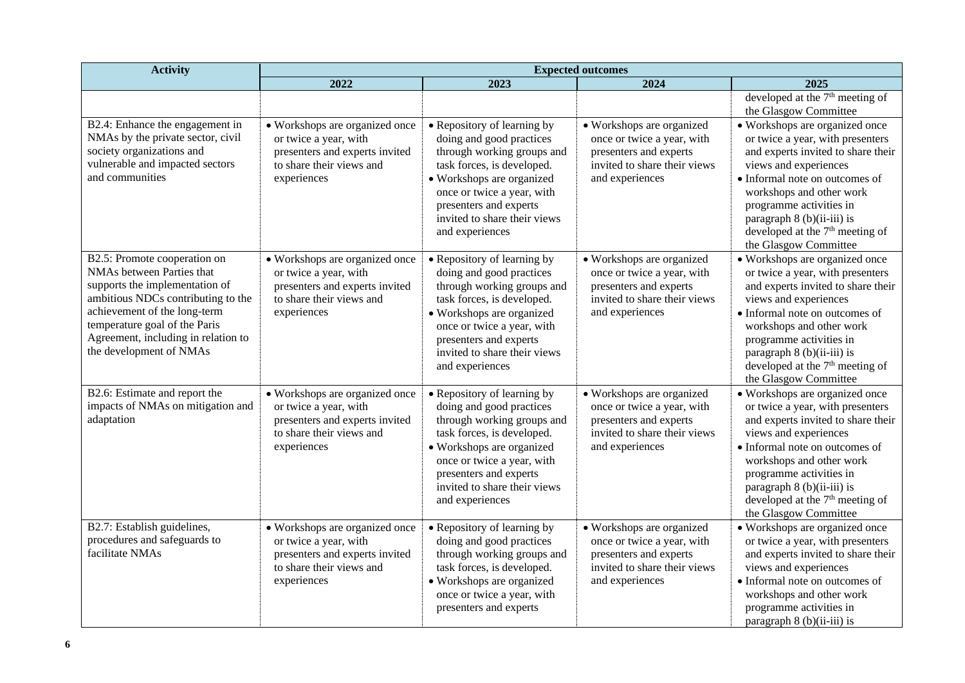| <b>Activity</b>                                                                                                                                                                                                                                                      | <b>Expected outcomes</b>                                                                                                             |                                                                                                                                                                                                                                                             |                                                                                                                                      |                                                                                                                                                                                                                                                                                                                         |
|----------------------------------------------------------------------------------------------------------------------------------------------------------------------------------------------------------------------------------------------------------------------|--------------------------------------------------------------------------------------------------------------------------------------|-------------------------------------------------------------------------------------------------------------------------------------------------------------------------------------------------------------------------------------------------------------|--------------------------------------------------------------------------------------------------------------------------------------|-------------------------------------------------------------------------------------------------------------------------------------------------------------------------------------------------------------------------------------------------------------------------------------------------------------------------|
|                                                                                                                                                                                                                                                                      | 2022                                                                                                                                 | 2023                                                                                                                                                                                                                                                        | 2024                                                                                                                                 | 2025                                                                                                                                                                                                                                                                                                                    |
|                                                                                                                                                                                                                                                                      |                                                                                                                                      |                                                                                                                                                                                                                                                             |                                                                                                                                      | developed at the $7th$ meeting of<br>the Glasgow Committee                                                                                                                                                                                                                                                              |
| B2.4: Enhance the engagement in<br>NMAs by the private sector, civil<br>society organizations and<br>vulnerable and impacted sectors<br>and communities                                                                                                              | • Workshops are organized once<br>or twice a year, with<br>presenters and experts invited<br>to share their views and<br>experiences | • Repository of learning by<br>doing and good practices<br>through working groups and<br>task forces, is developed.<br>• Workshops are organized<br>once or twice a year, with<br>presenters and experts<br>invited to share their views<br>and experiences | • Workshops are organized<br>once or twice a year, with<br>presenters and experts<br>invited to share their views<br>and experiences | • Workshops are organized once<br>or twice a year, with presenters<br>and experts invited to share their<br>views and experiences<br>• Informal note on outcomes of<br>workshops and other work<br>programme activities in<br>paragraph 8 (b)(ii-iii) is<br>developed at the $7th$ meeting of<br>the Glasgow Committee  |
| B2.5: Promote cooperation on<br>NMAs between Parties that<br>supports the implementation of<br>ambitious NDCs contributing to the<br>achievement of the long-term<br>temperature goal of the Paris<br>Agreement, including in relation to<br>the development of NMAs | • Workshops are organized once<br>or twice a year, with<br>presenters and experts invited<br>to share their views and<br>experiences | • Repository of learning by<br>doing and good practices<br>through working groups and<br>task forces, is developed.<br>• Workshops are organized<br>once or twice a year, with<br>presenters and experts<br>invited to share their views<br>and experiences | • Workshops are organized<br>once or twice a year, with<br>presenters and experts<br>invited to share their views<br>and experiences | • Workshops are organized once<br>or twice a year, with presenters<br>and experts invited to share their<br>views and experiences<br>• Informal note on outcomes of<br>workshops and other work<br>programme activities in<br>paragraph $8(b)(ii-iii)$ is<br>developed at the $7th$ meeting of<br>the Glasgow Committee |
| B2.6: Estimate and report the<br>impacts of NMAs on mitigation and<br>adaptation                                                                                                                                                                                     | • Workshops are organized once<br>or twice a year, with<br>presenters and experts invited<br>to share their views and<br>experiences | • Repository of learning by<br>doing and good practices<br>through working groups and<br>task forces, is developed.<br>• Workshops are organized<br>once or twice a year, with<br>presenters and experts<br>invited to share their views<br>and experiences | • Workshops are organized<br>once or twice a year, with<br>presenters and experts<br>invited to share their views<br>and experiences | · Workshops are organized once<br>or twice a year, with presenters<br>and experts invited to share their<br>views and experiences<br>• Informal note on outcomes of<br>workshops and other work<br>programme activities in<br>paragraph $8(b)(ii-iii)$ is<br>developed at the $7th$ meeting of<br>the Glasgow Committee |
| B2.7: Establish guidelines,<br>procedures and safeguards to<br>facilitate NMAs                                                                                                                                                                                       | • Workshops are organized once<br>or twice a year, with<br>presenters and experts invited<br>to share their views and<br>experiences | • Repository of learning by<br>doing and good practices<br>through working groups and<br>task forces, is developed.<br>• Workshops are organized<br>once or twice a year, with<br>presenters and experts                                                    | • Workshops are organized<br>once or twice a year, with<br>presenters and experts<br>invited to share their views<br>and experiences | • Workshops are organized once<br>or twice a year, with presenters<br>and experts invited to share their<br>views and experiences<br>• Informal note on outcomes of<br>workshops and other work<br>programme activities in<br>paragraph $8(b)(ii-iii)$ is                                                               |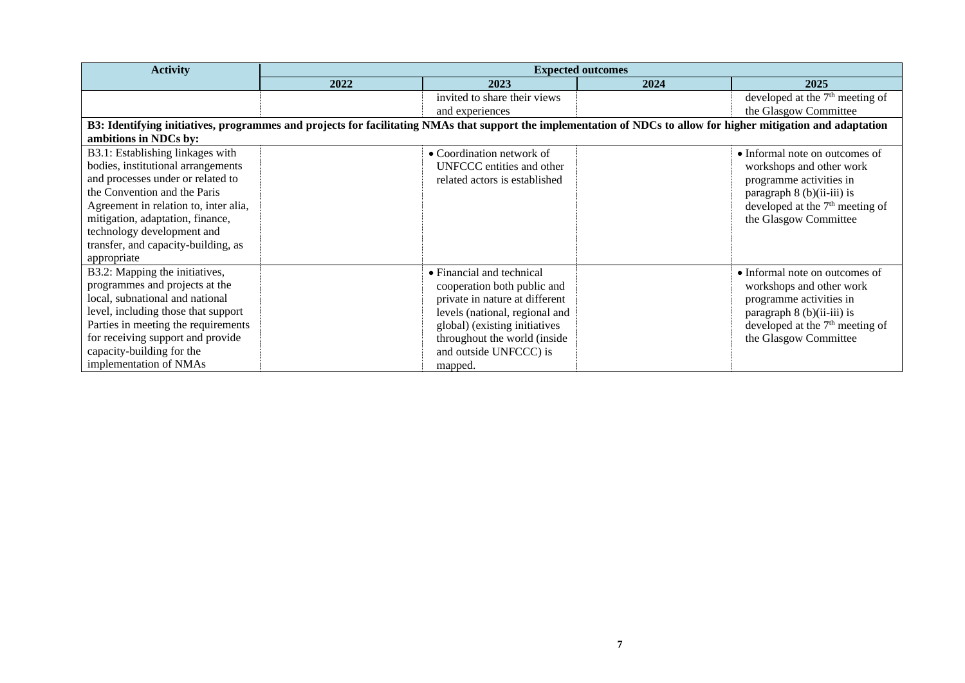| <b>Activity</b>                                                                                                                                                  | <b>Expected outcomes</b> |                                |      |                                             |
|------------------------------------------------------------------------------------------------------------------------------------------------------------------|--------------------------|--------------------------------|------|---------------------------------------------|
|                                                                                                                                                                  | 2022                     | 2023                           | 2024 | 2025                                        |
|                                                                                                                                                                  |                          | invited to share their views   |      | developed at the $7th$ meeting of           |
|                                                                                                                                                                  |                          | and experiences                |      | the Glasgow Committee                       |
| B3: Identifying initiatives, programmes and projects for facilitating NMAs that support the implementation of NDCs to allow for higher mitigation and adaptation |                          |                                |      |                                             |
| ambitions in NDCs by:                                                                                                                                            |                          |                                |      |                                             |
| B3.1: Establishing linkages with                                                                                                                                 |                          | • Coordination network of      |      | • Informal note on outcomes of              |
| bodies, institutional arrangements                                                                                                                               |                          | UNFCCC entities and other      |      | workshops and other work                    |
| and processes under or related to                                                                                                                                |                          | related actors is established  |      | programme activities in                     |
| the Convention and the Paris                                                                                                                                     |                          |                                |      | paragraph $8$ (b)(ii-iii) is                |
| Agreement in relation to, inter alia,                                                                                                                            |                          |                                |      | developed at the $7th$ meeting of           |
| mitigation, adaptation, finance,                                                                                                                                 |                          |                                |      | the Glasgow Committee                       |
| technology development and                                                                                                                                       |                          |                                |      |                                             |
| transfer, and capacity-building, as                                                                                                                              |                          |                                |      |                                             |
| appropriate                                                                                                                                                      |                          |                                |      |                                             |
| B3.2: Mapping the initiatives,                                                                                                                                   |                          | • Financial and technical      |      | • Informal note on outcomes of              |
| programmes and projects at the                                                                                                                                   |                          | cooperation both public and    |      | workshops and other work                    |
| local, subnational and national                                                                                                                                  |                          | private in nature at different |      | programme activities in                     |
| level, including those that support                                                                                                                              |                          | levels (national, regional and |      | paragraph $8$ (b)(ii-iii) is                |
| Parties in meeting the requirements                                                                                                                              |                          | global) (existing initiatives  |      | developed at the 7 <sup>th</sup> meeting of |
| for receiving support and provide                                                                                                                                |                          | throughout the world (inside   |      | the Glasgow Committee                       |
| capacity-building for the                                                                                                                                        |                          | and outside UNFCCC) is         |      |                                             |
| implementation of NMAs                                                                                                                                           |                          | mapped.                        |      |                                             |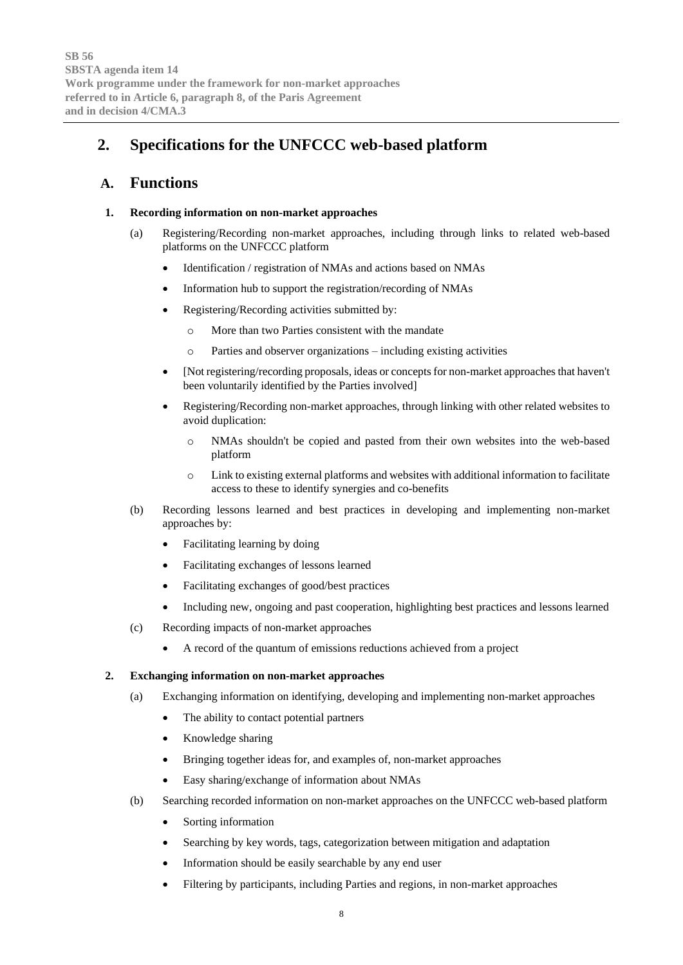# **2. Specifications for the UNFCCC web-based platform**

# **A. Functions**

#### **1. Recording information on non-market approaches**

- (a) Registering/Recording non-market approaches, including through links to related web-based platforms on the UNFCCC platform
	- Identification / registration of NMAs and actions based on NMAs
	- Information hub to support the registration/recording of NMAs
	- Registering/Recording activities submitted by:
		- o More than two Parties consistent with the mandate
		- o Parties and observer organizations including existing activities
	- [Not registering/recording proposals, ideas or concepts for non-market approaches that haven't been voluntarily identified by the Parties involved]
	- Registering/Recording non-market approaches, through linking with other related websites to avoid duplication:
		- o NMAs shouldn't be copied and pasted from their own websites into the web-based platform
		- $\circ$  Link to existing external platforms and websites with additional information to facilitate access to these to identify synergies and co-benefits
- (b) Recording lessons learned and best practices in developing and implementing non-market approaches by:
	- Facilitating learning by doing
	- Facilitating exchanges of lessons learned
	- Facilitating exchanges of good/best practices
	- Including new, ongoing and past cooperation, highlighting best practices and lessons learned
- (c) Recording impacts of non-market approaches
	- A record of the quantum of emissions reductions achieved from a project

#### **2. Exchanging information on non-market approaches**

- (a) Exchanging information on identifying, developing and implementing non-market approaches
	- The ability to contact potential partners
	- Knowledge sharing
	- Bringing together ideas for, and examples of, non-market approaches
	- Easy sharing/exchange of information about NMAs
- (b) Searching recorded information on non-market approaches on the UNFCCC web-based platform
	- Sorting information
	- Searching by key words, tags, categorization between mitigation and adaptation
	- Information should be easily searchable by any end user
	- Filtering by participants, including Parties and regions, in non-market approaches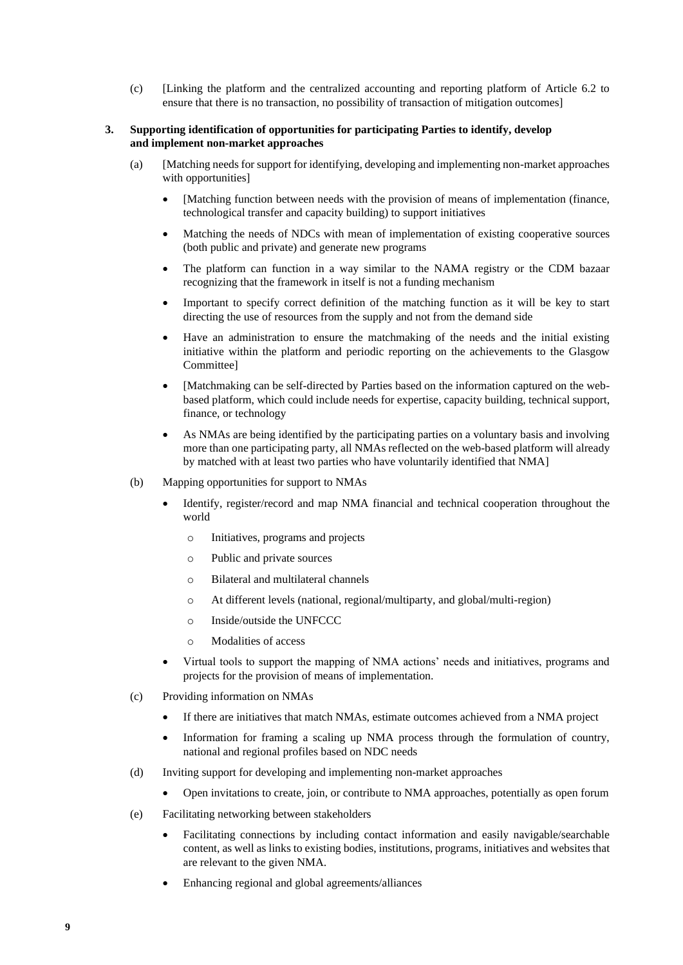(c) [Linking the platform and the centralized accounting and reporting platform of Article 6.2 to ensure that there is no transaction, no possibility of transaction of mitigation outcomes]

#### **3. Supporting identification of opportunities for participating Parties to identify, develop and implement non-market approaches**

- (a) [Matching needs for support for identifying, developing and implementing non-market approaches with opportunities]
	- [Matching function between needs with the provision of means of implementation (finance, technological transfer and capacity building) to support initiatives
	- Matching the needs of NDCs with mean of implementation of existing cooperative sources (both public and private) and generate new programs
	- The platform can function in a way similar to the NAMA registry or the CDM bazaar recognizing that the framework in itself is not a funding mechanism
	- Important to specify correct definition of the matching function as it will be key to start directing the use of resources from the supply and not from the demand side
	- Have an administration to ensure the matchmaking of the needs and the initial existing initiative within the platform and periodic reporting on the achievements to the Glasgow Committee]
	- [Matchmaking can be self-directed by Parties based on the information captured on the webbased platform, which could include needs for expertise, capacity building, technical support, finance, or technology
	- As NMAs are being identified by the participating parties on a voluntary basis and involving more than one participating party, all NMAs reflected on the web-based platform will already by matched with at least two parties who have voluntarily identified that NMA]
- (b) Mapping opportunities for support to NMAs
	- Identify, register/record and map NMA financial and technical cooperation throughout the world
		- o Initiatives, programs and projects
		- o Public and private sources
		- o Bilateral and multilateral channels
		- o At different levels (national, regional/multiparty, and global/multi-region)
		- o Inside/outside the UNFCCC
		- o Modalities of access
	- Virtual tools to support the mapping of NMA actions' needs and initiatives, programs and projects for the provision of means of implementation.
- (c) Providing information on NMAs
	- If there are initiatives that match NMAs, estimate outcomes achieved from a NMA project
	- Information for framing a scaling up NMA process through the formulation of country, national and regional profiles based on NDC needs
- (d) Inviting support for developing and implementing non-market approaches
	- Open invitations to create, join, or contribute to NMA approaches, potentially as open forum
- (e) Facilitating networking between stakeholders
	- Facilitating connections by including contact information and easily navigable/searchable content, as well as links to existing bodies, institutions, programs, initiatives and websites that are relevant to the given NMA.
	- Enhancing regional and global agreements/alliances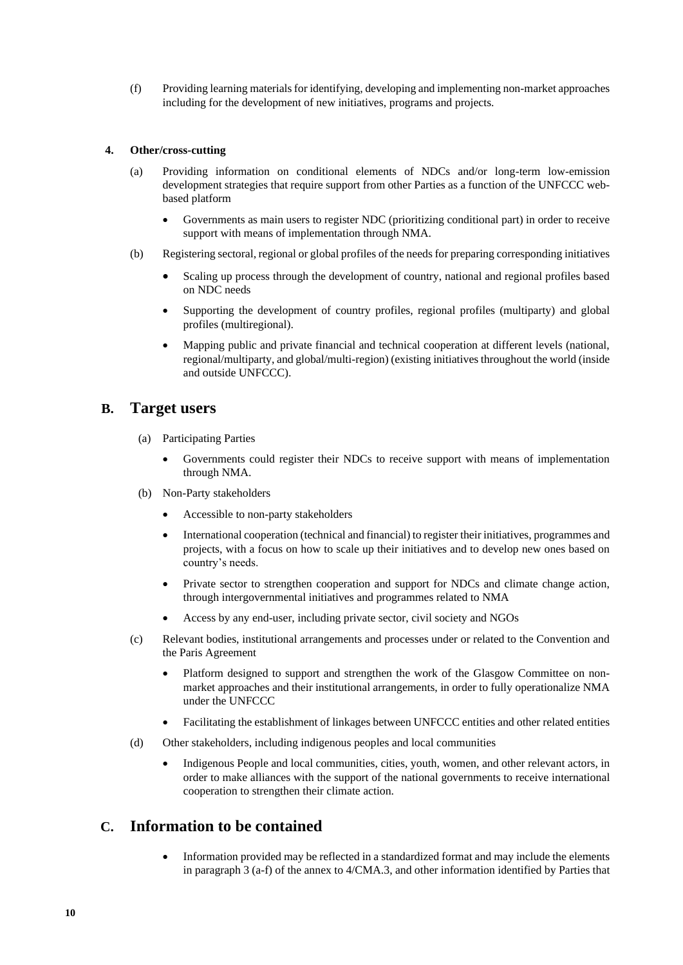(f) Providing learning materials for identifying, developing and implementing non-market approaches including for the development of new initiatives, programs and projects.

#### **4. Other/cross-cutting**

- (a) Providing information on conditional elements of NDCs and/or long-term low-emission development strategies that require support from other Parties as a function of the UNFCCC webbased platform
	- Governments as main users to register NDC (prioritizing conditional part) in order to receive support with means of implementation through NMA.
- (b) Registering sectoral, regional or global profiles of the needs for preparing corresponding initiatives
	- Scaling up process through the development of country, national and regional profiles based on NDC needs
	- Supporting the development of country profiles, regional profiles (multiparty) and global profiles (multiregional).
	- Mapping public and private financial and technical cooperation at different levels (national, regional/multiparty, and global/multi-region) (existing initiatives throughout the world (inside and outside UNFCCC).

### **B. Target users**

- (a) Participating Parties
	- Governments could register their NDCs to receive support with means of implementation through NMA.
- (b) Non-Party stakeholders
	- Accessible to non-party stakeholders
	- International cooperation (technical and financial) to register their initiatives, programmes and projects, with a focus on how to scale up their initiatives and to develop new ones based on country's needs.
	- Private sector to strengthen cooperation and support for NDCs and climate change action, through intergovernmental initiatives and programmes related to NMA
	- Access by any end-user, including private sector, civil society and NGOs
- (c) Relevant bodies, institutional arrangements and processes under or related to the Convention and the Paris Agreement
	- Platform designed to support and strengthen the work of the Glasgow Committee on nonmarket approaches and their institutional arrangements, in order to fully operationalize NMA under the UNFCCC
	- Facilitating the establishment of linkages between UNFCCC entities and other related entities
- (d) Other stakeholders, including indigenous peoples and local communities
	- Indigenous People and local communities, cities, youth, women, and other relevant actors, in order to make alliances with the support of the national governments to receive international cooperation to strengthen their climate action.

# **C. Information to be contained**

• Information provided may be reflected in a standardized format and may include the elements in paragraph 3 (a-f) of the annex to 4/CMA.3, and other information identified by Parties that